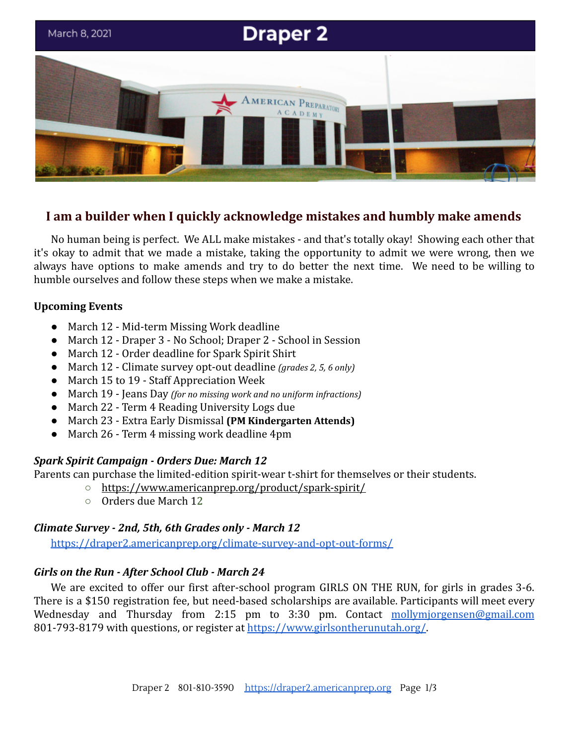

# **I am a builder when I quickly acknowledge mistakes and humbly make amends**

No human being is perfect. We ALL make mistakes - and that's totally okay! Showing each other that it's okay to admit that we made a mistake, taking the opportunity to admit we were wrong, then we always have options to make amends and try to do better the next time. We need to be willing to humble ourselves and follow these steps when we make a mistake.

### **Upcoming Events**

- March 12 Mid-term Missing Work deadline
- March 12 Draper 3 No School; Draper 2 School in Session
- March 12 Order deadline for Spark Spirit Shirt
- March 12 Climate survey opt-out deadline *(grades 2, 5, 6 only)*
- March 15 to 19 Staff Appreciation Week
- March 19 Jeans Day *(for no missing work and no uniform infractions)*
- March 22 Term 4 Reading University Logs due
- March 23 Extra Early Dismissal **(PM Kindergarten Attends)**
- March 26 Term 4 missing work deadline 4pm

# *Spark Spirit Campaign - Orders Due: March 12*

Parents can purchase the limited-edition spirit-wear t-shirt for themselves or their students.

- <https://www.americanprep.org/product/spark-spirit/>
- Orders due March 12

# *Climate Survey - 2nd, 5th, 6th Grades only - March 12*

<https://draper2.americanprep.org/climate-survey-and-opt-out-forms/>

# *Girls on the Run - After School Club - March 24*

We are excited to offer our first after-school program GIRLS ON THE RUN, for girls in grades 3-6. There is a \$150 registration fee, but need-based scholarships are available. Participants will meet every Wednesday and Thursday from 2:15 pm to 3:30 pm. Contact [mollymjorgensen@gmail.com](mailto:mollymjorgensen@gmail.com) 801-793-8179 with questions, or register at <https://www.girlsontherunutah.org/>.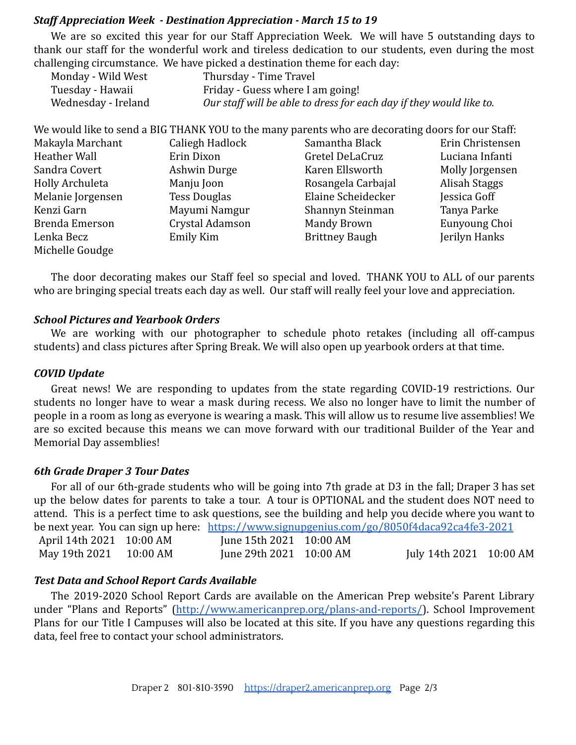### *Staff Appreciation Week - Destination Appreciation - March 15 to 19*

We are so excited this year for our Staff Appreciation Week. We will have 5 outstanding days to thank our staff for the wonderful work and tireless dedication to our students, even during the most challenging circumstance. We have picked a destination theme for each day:

| Monday - Wild West  | Thursday - Time Travel                                              |
|---------------------|---------------------------------------------------------------------|
| Tuesday - Hawaii    | Friday - Guess where I am going!                                    |
| Wednesday - Ireland | Our staff will be able to dress for each day if they would like to. |

|                       |                     | We would like to send a BIG THANK YOU to the many parents who are decorating doors for our Staff: |                  |
|-----------------------|---------------------|---------------------------------------------------------------------------------------------------|------------------|
| Makayla Marchant      | Caliegh Hadlock     | Samantha Black                                                                                    | Erin Christensen |
| Heather Wall          | Erin Dixon          | Gretel DeLaCruz                                                                                   | Luciana Infanti  |
| Sandra Covert         | Ashwin Durge        | Karen Ellsworth                                                                                   | Molly Jorgensen  |
| Holly Archuleta       | Manju Joon          | Rosangela Carbajal                                                                                | Alisah Staggs    |
| Melanie Jorgensen     | <b>Tess Douglas</b> | Elaine Scheidecker                                                                                | Jessica Goff     |
| Kenzi Garn            | Mayumi Namgur       | Shannyn Steinman                                                                                  | Tanya Parke      |
| <b>Brenda Emerson</b> | Crystal Adamson     | <b>Mandy Brown</b>                                                                                | Eunyoung Choi    |
| Lenka Becz            | Emily Kim           | <b>Brittney Baugh</b>                                                                             | Jerilyn Hanks    |
| Michelle Goudge       |                     |                                                                                                   |                  |

The door decorating makes our Staff feel so special and loved. THANK YOU to ALL of our parents who are bringing special treats each day as well. Our staff will really feel your love and appreciation.

#### *School Pictures and Yearbook Orders*

We are working with our photographer to schedule photo retakes (including all off-campus students) and class pictures after Spring Break. We will also open up yearbook orders at that time.

#### *COVID Update*

Great news! We are responding to updates from the state regarding COVID-19 restrictions. Our students no longer have to wear a mask during recess. We also no longer have to limit the number of people in a room as long as everyone is wearing a mask. This will allow us to resume live assemblies! We are so excited because this means we can move forward with our traditional Builder of the Year and Memorial Day assemblies!

#### *6th Grade Draper 3 Tour Dates*

For all of our 6th-grade students who will be going into 7th grade at D3 in the fall; Draper 3 has set up the below dates for parents to take a tour. A tour is OPTIONAL and the student does NOT need to attend. This is a perfect time to ask questions, see the building and help you decide where you want to be next year. You can sign up here: <https://www.signupgenius.com/go/8050f4daca92ca4fe3-2021> April 14th 2021 10:00 AM June 15th 2021 10:00 AM May 19th 2021 10:00 AM June 29th 2021 10:00 AM July 14th 2021 10:00 AM

### *Test Data and School Report Cards Available*

The 2019-2020 School Report Cards are available on the American Prep website's Parent Library under "Plans and Reports" [\(http://www.americanprep.org/plans-and-reports/](http://www.americanprep.org/plans-and-reports/)). School Improvement Plans for our Title I Campuses will also be located at this site. If you have any questions regarding this data, feel free to contact your school administrators.